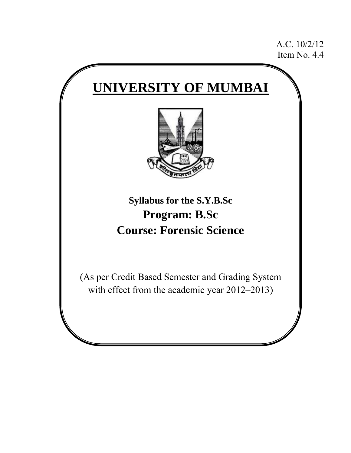A.C. 10/2/12 Item No. 4.4

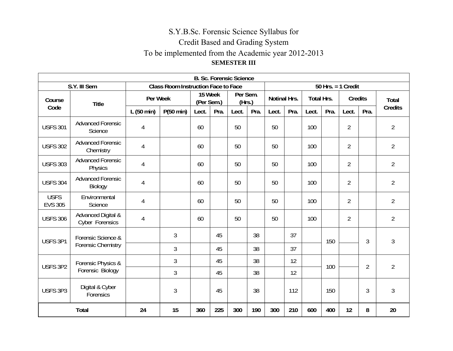# S.Y.B.Sc. Forensic Science Syllabus for Credit Based and Grading System To be implemented from the Academic year 2012-2013 **SEMESTER III**

|                               | <b>B. Sc. Forensic Science</b>             |           |                                            |                       |      |                    |      |                     |      |                   |      |                      |                |                |
|-------------------------------|--------------------------------------------|-----------|--------------------------------------------|-----------------------|------|--------------------|------|---------------------|------|-------------------|------|----------------------|----------------|----------------|
|                               | S.Y. III Sem                               |           | <b>Class Room Instruction Face to Face</b> |                       |      |                    |      |                     |      |                   |      | $50$ Hrs. = 1 Credit |                |                |
| Course                        | <b>Title</b>                               | Per Week  |                                            | 15 Week<br>(Per Sem.) |      | Per Sem.<br>(Hrs.) |      | <b>Notinal Hrs.</b> |      | <b>Total Hrs.</b> |      | <b>Credits</b>       |                | Total          |
| Code                          |                                            | L(50 min) | P(50 min)                                  | Lect.                 | Pra. | Lect.              | Pra. | Lect.               | Pra. | Lect.             | Pra. | Lect.                | Pra.           | <b>Credits</b> |
| <b>USFS 301</b>               | <b>Advanced Forensic</b><br>Science        | 4         |                                            | 60                    |      | 50                 |      | 50                  |      | 100               |      | $\overline{2}$       |                | $\overline{2}$ |
| <b>USFS 302</b>               | <b>Advanced Forensic</b><br>Chemistry      | 4         |                                            | 60                    |      | 50                 |      | 50                  |      | 100               |      | $\overline{2}$       |                | $\overline{2}$ |
| <b>USFS 303</b>               | <b>Advanced Forensic</b><br><b>Physics</b> | 4         |                                            | 60                    |      | 50                 |      | 50                  |      | 100               |      | $\overline{2}$       |                | $\overline{2}$ |
| <b>USFS 304</b>               | <b>Advanced Forensic</b><br>Biology        | 4         |                                            | 60                    |      | 50                 |      | 50                  |      | 100               |      | $\overline{2}$       |                | $\overline{2}$ |
| <b>USFS</b><br><b>EVS 305</b> | Environmental<br>Science                   | 4         |                                            | 60                    |      | 50                 |      | 50                  |      | 100               |      | $\overline{2}$       |                | $\overline{2}$ |
| <b>USFS 306</b>               | Advanced Digital &<br>Cyber Forensics      | 4         |                                            | 60                    |      | 50                 |      | 50                  |      | 100               |      | $\overline{2}$       |                | $\overline{2}$ |
| USFS 3P1                      | Forensic Science &                         |           | $\mathfrak{Z}$                             |                       | 45   |                    | 38   |                     | 37   |                   | 150  |                      | 3              | 3              |
|                               | <b>Forensic Chemistry</b>                  |           | 3                                          |                       | 45   |                    | 38   |                     | 37   |                   |      |                      |                |                |
|                               | Forensic Physics &                         |           | 3                                          |                       | 45   |                    | 38   |                     | 12   |                   | 100  |                      | $\overline{2}$ | $\overline{2}$ |
| USFS 3P2                      | Forensic Biology                           |           | 3                                          |                       | 45   |                    | 38   |                     | 12   |                   |      |                      |                |                |
| USFS 3P3                      | Digital & Cyber<br>Forensics               |           | $\mathfrak{Z}$                             |                       | 45   |                    | 38   |                     | 112  |                   | 150  |                      | 3              | $\mathfrak{Z}$ |
|                               | <b>Total</b>                               | 24        | 15                                         | 360                   | 225  | 300                | 190  | 300                 | 210  | 600               | 400  | 12                   | 8              | 20             |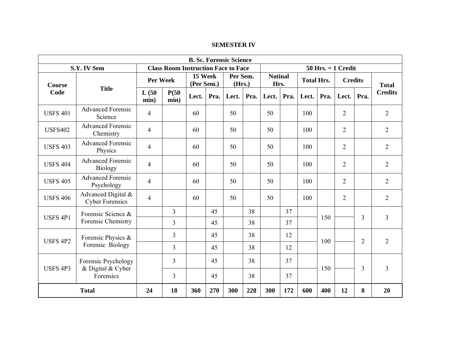#### **SEMESTER IV**

|                 | <b>B. Sc. Forensic Science</b>               |                |                                            |       |                                             |       |                        |       |                   |       |                |                        |                |                |  |
|-----------------|----------------------------------------------|----------------|--------------------------------------------|-------|---------------------------------------------|-------|------------------------|-------|-------------------|-------|----------------|------------------------|----------------|----------------|--|
|                 | S.Y. IV Sem                                  |                | <b>Class Room Instruction Face to Face</b> |       |                                             |       |                        |       |                   |       |                | $50$ Hrs. $= 1$ Credit |                |                |  |
| Course          |                                              | Per Week       |                                            |       | 15 Week<br>Per Sem.<br>(Per Sem.)<br>(Hrs.) |       | <b>Notinal</b><br>Hrs. |       | <b>Total Hrs.</b> |       | <b>Credits</b> |                        | <b>Total</b>   |                |  |
| Code            | <b>Title</b>                                 | L(50)<br>min)  | P(50)<br>min)                              | Lect. | Pra.                                        | Lect. | Pra.                   | Lect. | Pra.              | Lect. | Pra.           | Lect.                  | Pra.           | <b>Credits</b> |  |
| <b>USFS 401</b> | <b>Advanced Forensic</b><br>Science          | $\overline{4}$ |                                            | 60    |                                             | 50    |                        | 50    |                   | 100   |                | $\overline{2}$         |                | $\overline{2}$ |  |
| <b>USFS402</b>  | <b>Advanced Forensic</b><br>Chemistry        | $\overline{4}$ |                                            | 60    |                                             | 50    |                        | 50    |                   | 100   |                | $\overline{2}$         |                | $\overline{2}$ |  |
| <b>USFS 403</b> | <b>Advanced Forensic</b><br>Physics          | $\overline{4}$ |                                            | 60    |                                             | 50    |                        | 50    |                   | 100   |                | $\overline{2}$         |                | $\overline{2}$ |  |
| <b>USFS 404</b> | <b>Advanced Forensic</b><br><b>Biology</b>   | $\overline{4}$ |                                            | 60    |                                             | 50    |                        | 50    |                   | 100   |                | $\overline{2}$         |                | $\overline{2}$ |  |
| <b>USFS 405</b> | <b>Advanced Forensic</b><br>Psychology       | $\overline{4}$ |                                            | 60    |                                             | 50    |                        | 50    |                   | 100   |                | $\overline{2}$         |                | $\overline{2}$ |  |
| <b>USFS 406</b> | Advanced Digital &<br><b>Cyber Forensics</b> | $\overline{4}$ |                                            | 60    |                                             | 50    |                        | 50    |                   | 100   |                | 2                      |                | $\overline{2}$ |  |
|                 | Forensic Science &                           |                | 3                                          |       | 45                                          |       | 38                     |       | 37                |       |                |                        |                |                |  |
| <b>USFS 4P1</b> | Forensic Chemistry                           |                | $\overline{3}$                             |       | 45                                          |       | 38                     |       | 37                |       | 150            |                        | 3              | 3              |  |
|                 | Forensic Physics &                           |                | $\overline{3}$                             |       | 45                                          |       | 38                     |       | 12                |       |                |                        |                |                |  |
| <b>USFS 4P2</b> | Forensic Biology                             |                | 3                                          |       | 45                                          |       | 38                     |       | 12                |       | 100            |                        | $\overline{2}$ | $\overline{2}$ |  |
| <b>USFS 4P3</b> | Forensic Psychology<br>& Digital & Cyber     |                | 3                                          |       | 45                                          |       | 38                     |       | 37                |       | 150            | 3                      |                | 3              |  |
|                 | Forensics                                    |                | $\overline{3}$                             |       | 45                                          |       | 38                     |       | 37                |       |                |                        |                |                |  |
|                 | <b>Total</b>                                 | 24             | 18                                         | 360   | 270                                         | 300   | 228                    | 300   | 172               | 600   | 400            | 12                     | 8              | 20             |  |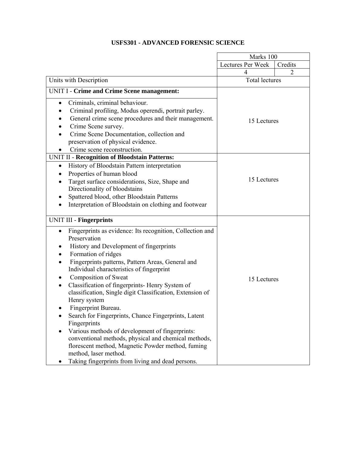## **USFS301 - ADVANCED FORENSIC SCIENCE**

|                                                                                                                                                                                                                                                                                                                                                                                                                                                                                                                                                                                                                                                                                                                                                                                                                                        | Marks 100             |                |
|----------------------------------------------------------------------------------------------------------------------------------------------------------------------------------------------------------------------------------------------------------------------------------------------------------------------------------------------------------------------------------------------------------------------------------------------------------------------------------------------------------------------------------------------------------------------------------------------------------------------------------------------------------------------------------------------------------------------------------------------------------------------------------------------------------------------------------------|-----------------------|----------------|
|                                                                                                                                                                                                                                                                                                                                                                                                                                                                                                                                                                                                                                                                                                                                                                                                                                        | Lectures Per Week     | Credits        |
|                                                                                                                                                                                                                                                                                                                                                                                                                                                                                                                                                                                                                                                                                                                                                                                                                                        | 4                     | $\overline{2}$ |
| Units with Description                                                                                                                                                                                                                                                                                                                                                                                                                                                                                                                                                                                                                                                                                                                                                                                                                 | <b>Total lectures</b> |                |
| UNIT I - Crime and Crime Scene management:                                                                                                                                                                                                                                                                                                                                                                                                                                                                                                                                                                                                                                                                                                                                                                                             |                       |                |
| Criminals, criminal behaviour.<br>$\bullet$<br>Criminal profiling, Modus operendi, portrait parley.<br>General crime scene procedures and their management.<br>Crime Scene survey.<br>Crime Scene Documentation, collection and<br>preservation of physical evidence.<br>Crime scene reconstruction.                                                                                                                                                                                                                                                                                                                                                                                                                                                                                                                                   | 15 Lectures           |                |
| UNIT II - Recognition of Bloodstain Patterns:<br>History of Bloodstain Pattern interpretation<br>$\bullet$                                                                                                                                                                                                                                                                                                                                                                                                                                                                                                                                                                                                                                                                                                                             |                       |                |
| Properties of human blood<br>Target surface considerations, Size, Shape and<br>Directionality of bloodstains<br>Spattered blood, other Bloodstain Patterns<br>Interpretation of Bloodstain on clothing and footwear                                                                                                                                                                                                                                                                                                                                                                                                                                                                                                                                                                                                                    | 15 Lectures           |                |
| <b>UNIT III - Fingerprints</b>                                                                                                                                                                                                                                                                                                                                                                                                                                                                                                                                                                                                                                                                                                                                                                                                         |                       |                |
| Fingerprints as evidence: Its recognition, Collection and<br>$\bullet$<br>Preservation<br>History and Development of fingerprints<br>Formation of ridges<br>$\bullet$<br>Fingerprints patterns, Pattern Areas, General and<br>Individual characteristics of fingerprint<br>Composition of Sweat<br>Classification of fingerprints- Henry System of<br>$\bullet$<br>classification, Single digit Classification, Extension of<br>Henry system<br><b>Fingerprint Bureau</b><br>Search for Fingerprints, Chance Fingerprints, Latent<br>$\bullet$<br>Fingerprints<br>Various methods of development of fingerprints:<br>$\bullet$<br>conventional methods, physical and chemical methods,<br>florescent method, Magnetic Powder method, fuming<br>method, laser method.<br>Taking fingerprints from living and dead persons.<br>$\bullet$ | 15 Lectures           |                |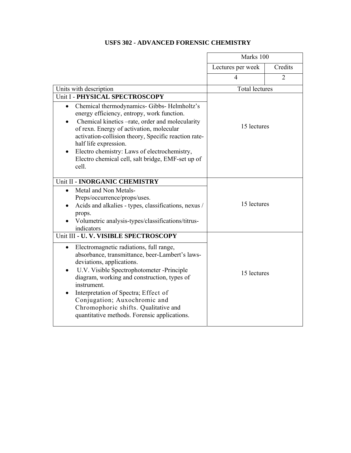## **USFS 302 - ADVANCED FORENSIC CHEMISTRY**

|                                                                                                                                                                                                                                                                                                                                                                                                                                                          | Marks 100             |                |
|----------------------------------------------------------------------------------------------------------------------------------------------------------------------------------------------------------------------------------------------------------------------------------------------------------------------------------------------------------------------------------------------------------------------------------------------------------|-----------------------|----------------|
|                                                                                                                                                                                                                                                                                                                                                                                                                                                          | Lectures per week     | Credits        |
|                                                                                                                                                                                                                                                                                                                                                                                                                                                          | $\overline{4}$        | $\overline{2}$ |
| Units with description                                                                                                                                                                                                                                                                                                                                                                                                                                   | <b>Total lectures</b> |                |
| Unit I - PHYSICAL SPECTROSCOPY<br>Chemical thermodynamics- Gibbs- Helmholtz's<br>$\bullet$<br>energy efficiency, entropy, work function.<br>Chemical kinetics -rate, order and molecularity<br>of rexn. Energy of activation, molecular<br>activation-collision theory, Specific reaction rate-<br>half life expression.<br>Electro chemistry: Laws of electrochemistry,<br>Electro chemical cell, salt bridge, EMF-set up of<br>cell.                   | 15 lectures           |                |
| Unit II - INORGANIC CHEMISTRY<br>Metal and Non Metals-<br>$\bullet$<br>Preps/occurrence/props/uses.<br>Acids and alkalies - types, classifications, nexus /<br>props.<br>Volumetric analysis-types/classifications/titrus-<br>indicators                                                                                                                                                                                                                 | 15 lectures           |                |
| Unit III - U. V. VISIBLE SPECTROSCOPY<br>Electromagnetic radiations, full range,<br>$\bullet$<br>absorbance, transmittance, beer-Lambert's laws-<br>deviations, applications.<br>U.V. Visible Spectrophotometer -Principle<br>diagram, working and construction, types of<br>instrument.<br>Interpretation of Spectra; Effect of<br>Conjugation; Auxochromic and<br>Chromophoric shifts. Qualitative and<br>quantitative methods. Forensic applications. | 15 lectures           |                |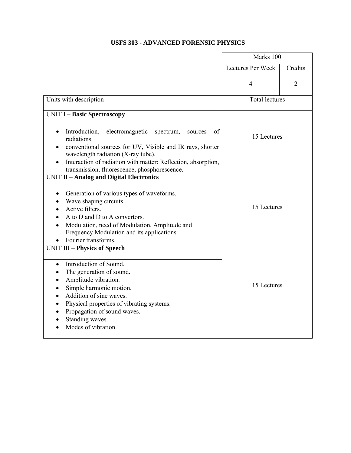## **USFS 303 - ADVANCED FORENSIC PHYSICS**

|                                                                                                                                                                                                                                                                                                                | Marks 100             |                |  |
|----------------------------------------------------------------------------------------------------------------------------------------------------------------------------------------------------------------------------------------------------------------------------------------------------------------|-----------------------|----------------|--|
|                                                                                                                                                                                                                                                                                                                | Lectures Per Week     | Credits        |  |
|                                                                                                                                                                                                                                                                                                                | $\overline{4}$        | $\overline{2}$ |  |
| Units with description                                                                                                                                                                                                                                                                                         | <b>Total lectures</b> |                |  |
| <b>UNIT I - Basic Spectroscopy</b>                                                                                                                                                                                                                                                                             |                       |                |  |
| Introduction,<br>electromagnetic<br>of<br>spectrum,<br>$\bullet$<br>sources<br>radiations.<br>conventional sources for UV, Visible and IR rays, shorter<br>wavelength radiation (X-ray tube).<br>Interaction of radiation with matter: Reflection, absorption,<br>transmission, fluorescence, phosphorescence. | 15 Lectures           |                |  |
| <b>UNIT II - Analog and Digital Electronics</b><br>Generation of various types of waveforms.<br>$\bullet$<br>Wave shaping circuits.<br>Active filters.<br>A to D and D to A convertors.<br>Modulation, need of Modulation, Amplitude and<br>Frequency Modulation and its applications.<br>Fourier transforms.  | 15 Lectures           |                |  |
| <b>UNIT III - Physics of Speech</b><br>Introduction of Sound.<br>$\bullet$<br>The generation of sound.<br>Amplitude vibration.<br>Simple harmonic motion.<br>Addition of sine waves.<br>Physical properties of vibrating systems.<br>Propagation of sound waves.<br>Standing waves.<br>Modes of vibration.     | 15 Lectures           |                |  |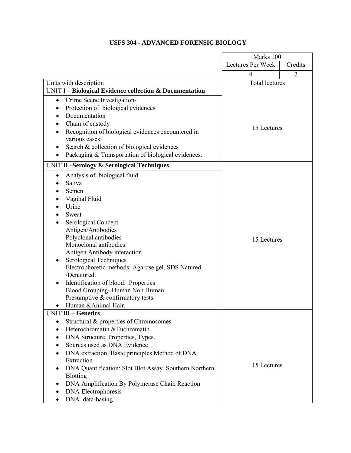### **USFS 304 - ADVANCED FORENSIC BIOLOGY**

|                                                                                                                                                                                                                                                                                                                                                                                                                                                             | Marks 100             |                |
|-------------------------------------------------------------------------------------------------------------------------------------------------------------------------------------------------------------------------------------------------------------------------------------------------------------------------------------------------------------------------------------------------------------------------------------------------------------|-----------------------|----------------|
|                                                                                                                                                                                                                                                                                                                                                                                                                                                             | Lectures Per Week     | Credits        |
|                                                                                                                                                                                                                                                                                                                                                                                                                                                             | $\overline{4}$        | $\overline{2}$ |
| Units with description                                                                                                                                                                                                                                                                                                                                                                                                                                      | <b>Total lectures</b> |                |
| UNIT I - Biological Evidence collection & Documentation                                                                                                                                                                                                                                                                                                                                                                                                     |                       |                |
| Crime Scene Investigation-<br>Protection of biological evidences<br>Documentation<br>Chain of custody<br>Recognition of biological evidences encountered in<br>various cases<br>Search & collection of biological evidences<br>Packaging & Transportation of biological evidences.                                                                                                                                                                          | 15 Lectures           |                |
| <b>UNIT II-Serology &amp; Serological Techniques</b>                                                                                                                                                                                                                                                                                                                                                                                                        |                       |                |
| Analysis of biological fluid<br>Saliva<br>Semen<br>Vaginal Fluid<br>Urine<br>Sweat<br>Serological Concept<br>Antigen/Antibodies<br>Polyclonal antibodies<br>Monoclonal antibodies<br>Antigen Antibody interaction.<br>Serological Techniques<br>٠<br>Electrophoretic methods: Agarose gel, SDS Natured<br>/Denatured.<br>Identification of blood: Properties<br>Blood Grouping-Human Non Human<br>Presumptive & confirmatory tests.<br>Human & Animal Hair. | 15 Lectures           |                |
| <b>UNIT III - Genetics</b><br>Structural & properties of Chromosomes<br>٠<br>Heterochromatin & Euchromatin<br>$\bullet$<br>DNA Structure, Properties, Types.<br>Sources used as DNA Evidence<br>DNA extraction: Basic principles, Method of DNA<br>Extraction<br>DNA Quantification: Slot Blot Assay, Southern Northern<br><b>Blotting</b><br>DNA Amplification By Polymerase Chain Reaction<br><b>DNA</b> Electrophoresis<br>DNA data-basing               | 15 Lectures           |                |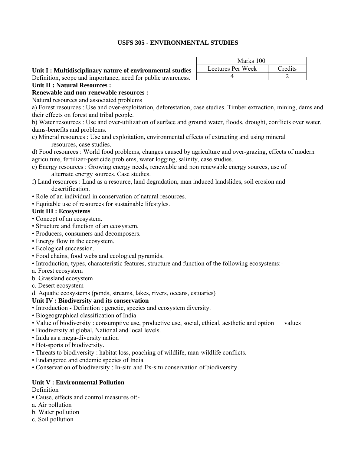### **USFS 305 - ENVIRONMENTAL STUDIES**

### **Unit I : Multidisciplinary nature of environmental studies**

Definition, scope and importance, need for public awareness.

### **Unit II : Natural Resources :**

**Renewable and non-renewable resources :** 

Natural resources and associated problems

a) Forest resources : Use and over-exploitation, deforestation, case studies. Timber extraction, mining, dams and their effects on forest and tribal people.

b) Water resources : Use and over-utilization of surface and ground water, floods, drought, conflicts over water, dams-benefits and problems.

c) Mineral resources : Use and exploitation, environmental effects of extracting and using mineral resources, case studies.

d) Food resources : World food problems, changes caused by agriculture and over-grazing, effects of modern agriculture, fertilizer-pesticide problems, water logging, salinity, case studies.

- e) Energy resources : Growing energy needs, renewable and non renewable energy sources, use of alternate energy sources. Case studies.
- f) Land resources : Land as a resource, land degradation, man induced landslides, soil erosion and desertification.
- Role of an individual in conservation of natural resources.
- Equitable use of resources for sustainable lifestyles.

### **Unit III : Ecosystems**

- Concept of an ecosystem.
- Structure and function of an ecosystem.
- Producers, consumers and decomposers.
- Energy flow in the ecosystem.
- Ecological succession.
- Food chains, food webs and ecological pyramids.
- Introduction, types, characteristic features, structure and function of the following ecosystems:-
- a. Forest ecosystem
- b. Grassland ecosystem
- c. Desert ecosystem

d. Aquatic ecosystems (ponds, streams, lakes, rivers, oceans, estuaries)

### **Unit IV : Biodiversity and its conservation**

- Introduction Definition : genetic, species and ecosystem diversity.
- Biogeographical classification of India
- Value of biodiversity : consumptive use, productive use, social, ethical, aesthetic and option values
- Biodiversity at global, National and local levels.
- Inida as a mega-diversity nation
- Hot-sports of biodiversity.
- Threats to biodiversity : habitat loss, poaching of wildlife, man-wildlife conflicts.
- Endangered and endemic species of India
- Conservation of biodiversity : In-situ and Ex-situ conservation of biodiversity.

### **Unit V : Environmental Pollution**

Definition

- **•** Cause, effects and control measures of:-
- a. Air pollution
- b. Water pollution
- c. Soil pollution

| Marks 100         |         |
|-------------------|---------|
| Lectures Per Week | Credits |
|                   |         |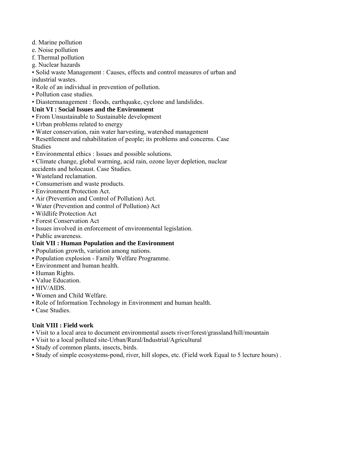- d. Marine pollution
- e. Noise pollution
- f. Thermal pollution
- g. Nuclear hazards

• Solid waste Management : Causes, effects and control measures of urban and industrial wastes.

- Role of an individual in prevention of pollution.
- Pollution case studies.
- Diastermanagement : floods, earthquake, cyclone and landslides.

#### **Unit VI : Social Issues and the Environment**

- **•** From Unsustainable to Sustainable development
- **•** Urban problems related to energy
- **•** Water conservation, rain water harvesting, watershed management
- Resettlement and rahabilitation of people; its problems and concerns. Case Studies
- Environmental ethics : Issues and possible solutions.
- Climate change, global warming, acid rain, ozone layer depletion, nuclear
- accidents and holocaust. Case Studies.
- Wasteland reclamation.
- Consumerism and waste products.
- Environment Protection Act.
- Air (Prevention and Control of Pollution) Act.
- Water (Prevention and control of Pollution) Act
- Wildlife Protection Act
- Forest Conservation Act
- Issues involved in enforcement of environmental legislation.
- Public awareness.

### **Unit VII : Human Population and the Environment**

- **•** Population growth, variation among nations.
- **•** Population explosion Family Welfare Programme.
- **•** Environment and human health.
- **•** Human Rights.
- **•** Value Education.
- **•** HIV/AIDS.
- **•** Women and Child Welfare.
- **•** Role of Information Technology in Environment and human health.
- **•** Case Studies.

### **Unit VIII : Field work**

- **•** Visit to a local area to document environmental assets river/forest/grassland/hill/mountain
- **•** Visit to a local polluted site-Urban/Rural/Industrial/Agricultural
- **•** Study of common plants, insects, birds.
- **•** Study of simple ecosystems-pond, river, hill slopes, etc. (Field work Equal to 5 lecture hours) .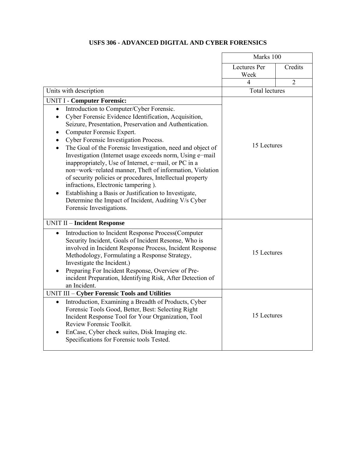## **USFS 306 - ADVANCED DIGITAL AND CYBER FORENSICS**

|                                                                                                                                                                                                                                                                                                                                                                                                                                                                                                                                                                                                                                                                                                                                                                                                   | Marks 100             |                |
|---------------------------------------------------------------------------------------------------------------------------------------------------------------------------------------------------------------------------------------------------------------------------------------------------------------------------------------------------------------------------------------------------------------------------------------------------------------------------------------------------------------------------------------------------------------------------------------------------------------------------------------------------------------------------------------------------------------------------------------------------------------------------------------------------|-----------------------|----------------|
|                                                                                                                                                                                                                                                                                                                                                                                                                                                                                                                                                                                                                                                                                                                                                                                                   | Lectures Per<br>Week  | Credits        |
|                                                                                                                                                                                                                                                                                                                                                                                                                                                                                                                                                                                                                                                                                                                                                                                                   | 4                     | $\overline{2}$ |
| Units with description                                                                                                                                                                                                                                                                                                                                                                                                                                                                                                                                                                                                                                                                                                                                                                            | <b>Total lectures</b> |                |
| <b>UNIT I - Computer Forensic:</b>                                                                                                                                                                                                                                                                                                                                                                                                                                                                                                                                                                                                                                                                                                                                                                |                       |                |
| Introduction to Computer/Cyber Forensic.<br>$\bullet$<br>Cyber Forensic Evidence Identification, Acquisition,<br>$\bullet$<br>Seizure, Presentation, Preservation and Authentication.<br>Computer Forensic Expert.<br>Cyber Forensic Investigation Process.<br>$\bullet$<br>The Goal of the Forensic Investigation, need and object of<br>$\bullet$<br>Investigation (Internet usage exceeds norm, Using e-mail<br>inappropriately, Use of Internet, e-mail, or PC in a<br>non-work-related manner, Theft of information, Violation<br>of security policies or procedures, Intellectual property<br>infractions, Electronic tampering).<br>Establishing a Basis or Justification to Investigate,<br>$\bullet$<br>Determine the Impact of Incident, Auditing V/s Cyber<br>Forensic Investigations. | 15 Lectures           |                |
| <b>UNIT II - Incident Response</b><br>Introduction to Incident Response Process(Computer<br>$\bullet$<br>Security Incident, Goals of Incident Resonse, Who is<br>involved in Incident Response Process, Incident Response<br>Methodology, Formulating a Response Strategy,<br>Investigate the Incident.)<br>Preparing For Incident Response, Overview of Pre-<br>incident Preparation, Identifying Risk, After Detection of<br>an Incident.                                                                                                                                                                                                                                                                                                                                                       | 15 Lectures           |                |
| UNIT III - Cyber Forensic Tools and Utilities                                                                                                                                                                                                                                                                                                                                                                                                                                                                                                                                                                                                                                                                                                                                                     |                       |                |
| Introduction, Examining a Breadth of Products, Cyber<br>$\bullet$<br>Forensic Tools Good, Better, Best: Selecting Right<br>Incident Response Tool for Your Organization, Tool<br>Review Forensic Toolkit.<br>EnCase, Cyber check suites, Disk Imaging etc.<br>$\bullet$<br>Specifications for Forensic tools Tested.                                                                                                                                                                                                                                                                                                                                                                                                                                                                              | 15 Lectures           |                |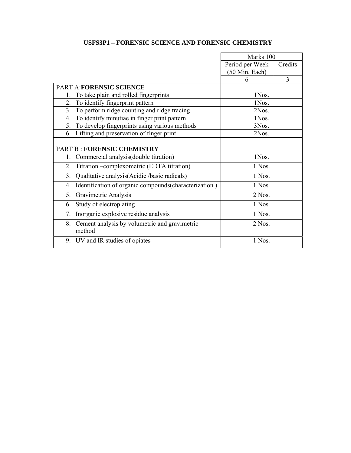## **USFS3P1 – FORENSIC SCIENCE AND FORENSIC CHEMISTRY**

|                                                               | Marks 100       |         |
|---------------------------------------------------------------|-----------------|---------|
|                                                               | Period per Week | Credits |
|                                                               | (50 Min. Each)  |         |
|                                                               | 6               | 3       |
| PART A:FORENSIC SCIENCE                                       |                 |         |
| To take plain and rolled fingerprints<br>1.                   | 1Nos.           |         |
| To identify fingerprint pattern<br>2.                         | 1Nos.           |         |
| 3. To perform ridge counting and ridge tracing                | 2Nos.           |         |
| 4. To identify minutiae in finger print pattern               | 1Nos            |         |
| 5. To develop fingerprints using various methods              | 3Nos.           |         |
| 6. Lifting and preservation of finger print                   | 2Nos.           |         |
|                                                               |                 |         |
| <b>PART B: FORENSIC CHEMISTRY</b>                             |                 |         |
| Commercial analysis (double titration)<br>1.                  | 1Nos.           |         |
| Titration - complexometric (EDTA titration)<br>2.             | 1 Nos.          |         |
| Qualitative analysis(Acidic /basic radicals)<br>3.            | 1 Nos.          |         |
| Identification of organic compounds(characterization)<br>4.   | 1 Nos.          |         |
| Gravimetric Analysis<br>5.                                    | $2$ Nos.        |         |
| Study of electroplating<br>6.                                 | 1 Nos.          |         |
| Inorganic explosive residue analysis<br>7.                    | 1 Nos.          |         |
| Cement analysis by volumetric and gravimetric<br>8.<br>method | $2$ Nos.        |         |
| 9. UV and IR studies of opiates                               | 1 Nos.          |         |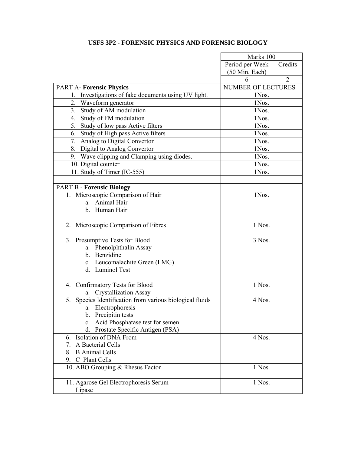## **USFS 3P2 - FORENSIC PHYSICS AND FORENSIC BIOLOGY**

|                                                          | Marks 100                 |                |
|----------------------------------------------------------|---------------------------|----------------|
|                                                          | Period per Week           | Credits        |
|                                                          | $(50 \text{ Min.}$ Each)  |                |
|                                                          | 6                         | $\overline{2}$ |
| <b>PART A- Forensic Physics</b>                          | <b>NUMBER OF LECTURES</b> |                |
| Investigations of fake documents using UV light.         | 1Nos.                     |                |
| 2. Waveform generator                                    | 1Nos.                     |                |
| 3. Study of AM modulation                                | 1Nos.                     |                |
| 4. Study of FM modulation                                | 1Nos.                     |                |
| 5. Study of low pass Active filters                      | 1Nos.                     |                |
| 6. Study of High pass Active filters                     | 1Nos.                     |                |
| 7. Analog to Digital Convertor                           | 1Nos.                     |                |
| 8. Digital to Analog Convertor                           | 1Nos.                     |                |
| 9. Wave clipping and Clamping using diodes.              | 1Nos.                     |                |
| 10. Digital counter                                      | 1Nos.                     |                |
| 11. Study of Timer (IC-555)                              | 1Nos.                     |                |
|                                                          |                           |                |
| <b>PART B - Forensic Biology</b>                         |                           |                |
| 1. Microscopic Comparison of Hair                        | 1Nos.                     |                |
| a. Animal Hair                                           |                           |                |
| b. Human Hair                                            |                           |                |
|                                                          |                           |                |
| Microscopic Comparison of Fibres<br>2.                   | 1 Nos.                    |                |
| 3. Presumptive Tests for Blood                           | 3 Nos.                    |                |
| a. Phenolphthalin Assay                                  |                           |                |
| b. Benzidine                                             |                           |                |
| c. Leucomalachite Green (LMG)                            |                           |                |
| d. Luminol Test                                          |                           |                |
|                                                          |                           |                |
| 4. Confirmatory Tests for Blood                          | 1 Nos.                    |                |
| <b>Crystallization Assay</b><br>a.                       |                           |                |
| 5. Species Identification from various biological fluids | 4 Nos.                    |                |
| a. Electrophoresis                                       |                           |                |
| b. Precipitin tests                                      |                           |                |
| Acid Phosphatase test for semen<br>$c_{\cdot}$           |                           |                |
| d. Prostate Specific Antigen (PSA)                       |                           |                |
| 6. Isolation of DNA From                                 | 4 Nos.                    |                |
| A Bacterial Cells<br>$7_{\scriptscriptstyle{\sim}}$      |                           |                |
| <b>B</b> Animal Cells<br>8.                              |                           |                |
| C Plant Cells<br>9.                                      |                           |                |
| 10. ABO Grouping & Rhesus Factor                         | 1 Nos.                    |                |
| 11. Agarose Gel Electrophoresis Serum                    | 1 Nos.                    |                |
| Lipase                                                   |                           |                |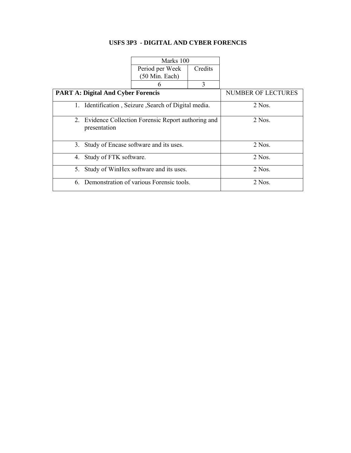## **USFS 3P3 - DIGITAL AND CYBER FORENCIS**

|    |                                           | Marks 100                                            |         |          |
|----|-------------------------------------------|------------------------------------------------------|---------|----------|
|    |                                           | Period per Week<br>(50 Min. Each)                    | Credits |          |
|    |                                           | h                                                    | 3       |          |
|    | <b>PART A: Digital And Cyber Forencis</b> | <b>NUMBER OF LECTURES</b>                            |         |          |
|    |                                           | 1. Identification, Seizure, Search of Digital media. |         | $2$ Nos. |
|    | presentation                              | 2. Evidence Collection Forensic Report authoring and |         | $2$ Nos. |
| 3. |                                           | Study of Encase software and its uses.               |         | $2$ Nos. |
|    | 4. Study of FTK software.                 |                                                      |         | $2$ Nos. |
| 5. |                                           | Study of WinHex software and its uses.               |         | 2 Nos    |
|    |                                           | 6. Demonstration of various Forensic tools.          |         | $2$ Nos. |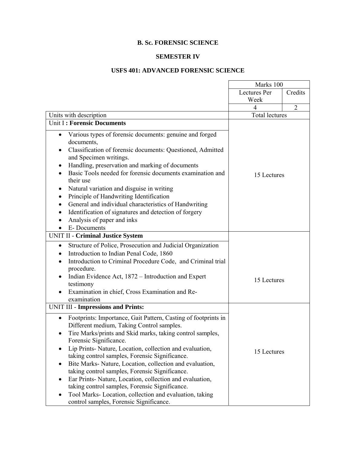### **B. Sc. FORENSIC SCIENCE**

#### **SEMESTER IV**

### **USFS 401: ADVANCED FORENSIC SCIENCE**

 $\blacksquare$ 

|                                                                                                                                                                                                                                                                                                                                                                                                                                                                                                                                                                                                                                                                               | Marks 100             |                |
|-------------------------------------------------------------------------------------------------------------------------------------------------------------------------------------------------------------------------------------------------------------------------------------------------------------------------------------------------------------------------------------------------------------------------------------------------------------------------------------------------------------------------------------------------------------------------------------------------------------------------------------------------------------------------------|-----------------------|----------------|
|                                                                                                                                                                                                                                                                                                                                                                                                                                                                                                                                                                                                                                                                               | Lectures Per          | Credits        |
|                                                                                                                                                                                                                                                                                                                                                                                                                                                                                                                                                                                                                                                                               | Week<br>4             | $\overline{2}$ |
| Units with description                                                                                                                                                                                                                                                                                                                                                                                                                                                                                                                                                                                                                                                        | <b>Total lectures</b> |                |
| Unit I: Forensic Documents                                                                                                                                                                                                                                                                                                                                                                                                                                                                                                                                                                                                                                                    |                       |                |
| Various types of forensic documents: genuine and forged<br>$\bullet$<br>documents,<br>Classification of forensic documents: Questioned, Admitted<br>and Specimen writings.<br>Handling, preservation and marking of documents<br>Basic Tools needed for forensic documents examination and<br>their use<br>Natural variation and disguise in writing<br>Principle of Handwriting Identification<br>General and individual characteristics of Handwriting<br>Identification of signatures and detection of forgery<br>Analysis of paper and inks<br>E-Documents<br>$\bullet$                                                                                                   | 15 Lectures           |                |
| <b>UNIT II - Criminal Justice System</b>                                                                                                                                                                                                                                                                                                                                                                                                                                                                                                                                                                                                                                      |                       |                |
| Structure of Police, Prosecution and Judicial Organization<br>$\bullet$<br>Introduction to Indian Penal Code, 1860<br>Introduction to Criminal Procedure Code, and Criminal trial<br>procedure.<br>Indian Evidence Act, 1872 – Introduction and Expert<br>testimony<br>Examination in chief, Cross Examination and Re-<br>examination                                                                                                                                                                                                                                                                                                                                         | 15 Lectures           |                |
| <b>UNIT III - Impressions and Prints:</b>                                                                                                                                                                                                                                                                                                                                                                                                                                                                                                                                                                                                                                     |                       |                |
| Footprints: Importance, Gait Pattern, Casting of footprints in<br>$\bullet$<br>Different medium, Taking Control samples.<br>Tire Marks/prints and Skid marks, taking control samples,<br>$\bullet$<br>Forensic Significance.<br>Lip Prints-Nature, Location, collection and evaluation,<br>taking control samples, Forensic Significance.<br>Bite Marks-Nature, Location, collection and evaluation,<br>٠<br>taking control samples, Forensic Significance.<br>Ear Prints-Nature, Location, collection and evaluation,<br>taking control samples, Forensic Significance.<br>Tool Marks-Location, collection and evaluation, taking<br>control samples, Forensic Significance. | 15 Lectures           |                |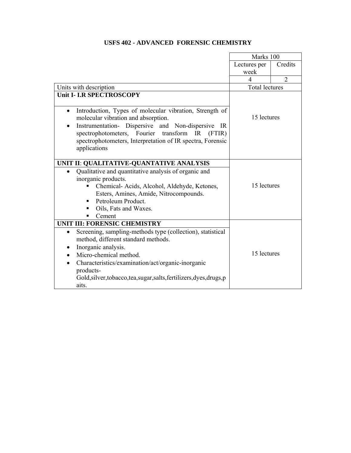|                                                                                                                                                                                                                                                                                                                                                                                      | Marks 100             |                |
|--------------------------------------------------------------------------------------------------------------------------------------------------------------------------------------------------------------------------------------------------------------------------------------------------------------------------------------------------------------------------------------|-----------------------|----------------|
|                                                                                                                                                                                                                                                                                                                                                                                      | Lectures per          | Credits        |
|                                                                                                                                                                                                                                                                                                                                                                                      | week                  |                |
|                                                                                                                                                                                                                                                                                                                                                                                      | $\overline{4}$        | $\overline{2}$ |
| Units with description                                                                                                                                                                                                                                                                                                                                                               | <b>Total lectures</b> |                |
| Unit I- I.R SPECTROSCOPY<br>Introduction, Types of molecular vibration, Strength of<br>$\bullet$<br>molecular vibration and absorption.<br>Instrumentation- Dispersive and Non-dispersive IR<br>$\bullet$<br>spectrophotometers, Fourier transform IR<br>(FTIR)<br>spectrophotometers, Interpretation of IR spectra, Forensic<br>applications                                        | 15 lectures           |                |
| UNIT II: QUALITATIVE-QUANTATIVE ANALYSIS<br>Qualitative and quantitative analysis of organic and<br>inorganic products.<br>Chemical- Acids, Alcohol, Aldehyde, Ketones,<br>Esters, Amines, Amide, Nitrocompounds.<br>Petroleum Product.<br>Oils, Fats and Waxes.<br>Cement<br>٠                                                                                                      | 15 lectures           |                |
| <b>UNIT III: FORENSIC CHEMISTRY</b><br>Screening, sampling-methods type (collection), statistical<br>$\bullet$<br>method, different standard methods.<br>Inorganic analysis.<br>$\bullet$<br>Micro-chemical method.<br>Characteristics/examination/act/organic-inorganic<br>$\bullet$<br>products-<br>Gold, silver, tobacco, tea, sugar, salts, fertilizers, dyes, drugs, p<br>aits. | 15 lectures           |                |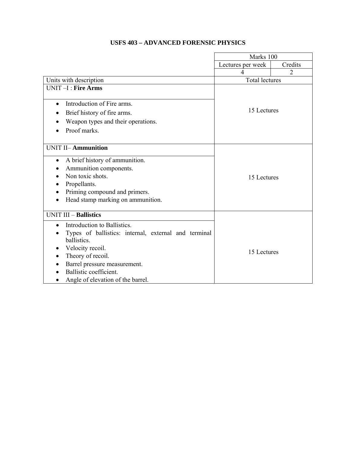|                                                      | Marks 100             |                |
|------------------------------------------------------|-----------------------|----------------|
|                                                      | Lectures per week     | Credits        |
|                                                      | 4                     | $\overline{2}$ |
| Units with description                               | <b>Total lectures</b> |                |
| UNIT-I: Fire Arms                                    |                       |                |
|                                                      |                       |                |
| Introduction of Fire arms.<br>$\bullet$              |                       |                |
| Brief history of fire arms.                          | 15 Lectures           |                |
| Weapon types and their operations.                   |                       |                |
| Proof marks.                                         |                       |                |
|                                                      |                       |                |
| <b>UNIT II-Ammunition</b>                            |                       |                |
| A brief history of ammunition.<br>$\bullet$          |                       |                |
| Ammunition components.                               |                       |                |
| Non toxic shots.                                     | 15 Lectures           |                |
| Propellants.                                         |                       |                |
| Priming compound and primers.                        |                       |                |
| Head stamp marking on ammunition.<br>$\bullet$       |                       |                |
|                                                      |                       |                |
| <b>UNIT III - Ballistics</b>                         |                       |                |
| Introduction to Ballistics.<br>$\bullet$             |                       |                |
| Types of ballistics: internal, external and terminal |                       |                |
| ballistics.                                          |                       |                |
| Velocity recoil.                                     | 15 Lectures           |                |
| Theory of recoil.                                    |                       |                |
| Barrel pressure measurement.                         |                       |                |
| Ballistic coefficient.                               |                       |                |
| Angle of elevation of the barrel.                    |                       |                |

## **USFS 403 – ADVANCED FORENSIC PHYSICS**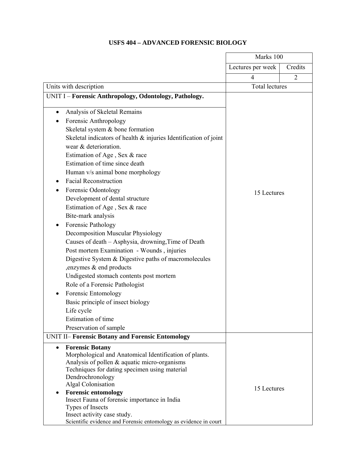## **USFS 404 – ADVANCED FORENSIC BIOLOGY**

|                                                                     | Marks 100             |                |
|---------------------------------------------------------------------|-----------------------|----------------|
|                                                                     | Lectures per week     | Credits        |
|                                                                     | 4                     | $\overline{2}$ |
| Units with description                                              | <b>Total lectures</b> |                |
| UNIT I - Forensic Anthropology, Odontology, Pathology.              |                       |                |
| Analysis of Skeletal Remains<br>$\bullet$                           |                       |                |
|                                                                     |                       |                |
| Forensic Anthropology                                               |                       |                |
| Skeletal system & bone formation                                    |                       |                |
| Skeletal indicators of health $\&$ injuries Identification of joint |                       |                |
| wear & deterioration.                                               |                       |                |
| Estimation of Age, Sex & race                                       |                       |                |
| Estimation of time since death                                      |                       |                |
| Human v/s animal bone morphology                                    |                       |                |
| <b>Facial Reconstruction</b><br>$\bullet$                           |                       |                |
| Forensic Odontology                                                 | 15 Lectures           |                |
| Development of dental structure                                     |                       |                |
| Estimation of Age, Sex & race                                       |                       |                |
| Bite-mark analysis                                                  |                       |                |
| Forensic Pathology<br>$\bullet$                                     |                       |                |
| <b>Decomposition Muscular Physiology</b>                            |                       |                |
| Causes of death - Asphysia, drowning, Time of Death                 |                       |                |
| Post mortem Examination - Wounds, injuries                          |                       |                |
| Digestive System & Digestive paths of macromolecules                |                       |                |
| enzymes & end products                                              |                       |                |
| Undigested stomach contents post mortem                             |                       |                |
| Role of a Forensic Pathologist                                      |                       |                |
| Forensic Entomology<br>$\bullet$                                    |                       |                |
| Basic principle of insect biology                                   |                       |                |
| Life cycle                                                          |                       |                |
| Estimation of time                                                  |                       |                |
| Preservation of sample                                              |                       |                |
| <b>UNIT II- Forensic Botany and Forensic Entomology</b>             |                       |                |
| <b>Forensic Botany</b><br>$\bullet$                                 |                       |                |
| Morphological and Anatomical Identification of plants.              |                       |                |
| Analysis of pollen & aquatic micro-organisms                        |                       |                |
| Techniques for dating specimen using material                       |                       |                |
| Dendrochronology                                                    |                       |                |
| Algal Colonisation                                                  | 15 Lectures           |                |
| <b>Forensic entomology</b><br>٠                                     |                       |                |
| Insect Fauna of forensic importance in India<br>Types of Insects    |                       |                |
| Insect activity case study.                                         |                       |                |
| Scientific evidence and Forensic entomology as evidence in court    |                       |                |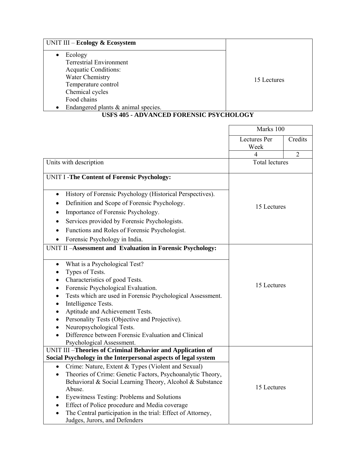| UNIT III - Ecology & Ecosystem                                                                                                                                                              |             |
|---------------------------------------------------------------------------------------------------------------------------------------------------------------------------------------------|-------------|
| Ecology<br><b>Terrestrial Environment</b><br><b>Acquatic Conditions:</b><br>Water Chemistry<br>Temperature control<br>Chemical cycles<br>Food chains<br>Endangered plants & animal species. | 15 Lectures |

### **USFS 405 - ADVANCED FORENSIC PSYCHOLOGY**

|                                                                                                                                     | Marks 100             |                |
|-------------------------------------------------------------------------------------------------------------------------------------|-----------------------|----------------|
|                                                                                                                                     | Lectures Per          | Credits        |
|                                                                                                                                     | Week                  |                |
|                                                                                                                                     | 4                     | $\overline{2}$ |
| Units with description                                                                                                              | <b>Total lectures</b> |                |
| UNIT I -The Content of Forensic Psychology:                                                                                         |                       |                |
| History of Forensic Psychology (Historical Perspectives).<br>$\bullet$                                                              |                       |                |
| Definition and Scope of Forensic Psychology.                                                                                        |                       |                |
| Importance of Forensic Psychology.                                                                                                  | 15 Lectures           |                |
| Services provided by Forensic Psychologists.                                                                                        |                       |                |
| Functions and Roles of Forensic Psychologist.                                                                                       |                       |                |
| Forensic Psychology in India.                                                                                                       |                       |                |
| UNIT II-Assessment and Evaluation in Forensic Psychology:                                                                           |                       |                |
|                                                                                                                                     |                       |                |
| What is a Psychological Test?<br>$\bullet$                                                                                          |                       |                |
| Types of Tests.                                                                                                                     |                       |                |
| Characteristics of good Tests.                                                                                                      |                       |                |
| Forensic Psychological Evaluation.<br>٠                                                                                             | 15 Lectures           |                |
| Tests which are used in Forensic Psychological Assessment.                                                                          |                       |                |
| Intelligence Tests.                                                                                                                 |                       |                |
| Aptitude and Achievement Tests.                                                                                                     |                       |                |
| Personality Tests (Objective and Projective).                                                                                       |                       |                |
| Neuropsychological Tests.                                                                                                           |                       |                |
| Difference between Forensic Evaluation and Clinical                                                                                 |                       |                |
| Psychological Assessment.                                                                                                           |                       |                |
| UNIT III-Theories of Criminal Behavior and Application of                                                                           |                       |                |
| Social Psychology in the Interpersonal aspects of legal system                                                                      |                       |                |
| Crime: Nature, Extent & Types (Violent and Sexual)<br>$\bullet$                                                                     |                       |                |
| Theories of Crime: Genetic Factors, Psychoanalytic Theory,<br>$\bullet$<br>Behavioral & Social Learning Theory, Alcohol & Substance |                       |                |
| Abuse.                                                                                                                              | 15 Lectures           |                |
| Eyewitness Testing: Problems and Solutions<br>٠                                                                                     |                       |                |
| Effect of Police procedure and Media coverage                                                                                       |                       |                |
| The Central participation in the trial: Effect of Attorney,                                                                         |                       |                |
| Judges, Jurors, and Defenders                                                                                                       |                       |                |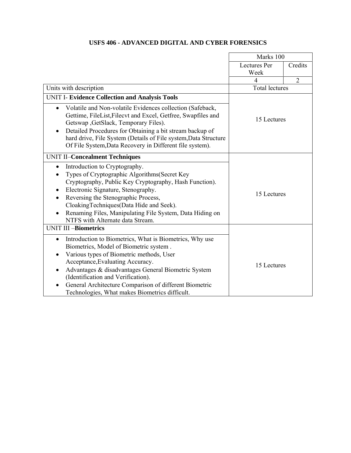## **USFS 406 - ADVANCED DIGITAL AND CYBER FORENSICS**

|                                                                        | Marks 100             |                |
|------------------------------------------------------------------------|-----------------------|----------------|
|                                                                        | <b>Lectures Per</b>   | Credits        |
|                                                                        | Week                  |                |
|                                                                        | 4                     | $\overline{2}$ |
| Units with description                                                 | <b>Total lectures</b> |                |
| UNIT I- Evidence Collection and Analysis Tools                         |                       |                |
| Volatile and Non-volatile Evidences collection (Safeback,<br>$\bullet$ |                       |                |
| Gettime, FileList, Filecvt and Excel, Getfree, Swapfiles and           | 15 Lectures           |                |
| Getswap , GetSlack, Temporary Files).                                  |                       |                |
| Detailed Procedures for Obtaining a bit stream backup of               |                       |                |
| hard drive, File System (Details of File system, Data Structure        |                       |                |
| Of File System, Data Recovery in Different file system).               |                       |                |
| <b>UNIT II-Concealment Techniques</b>                                  |                       |                |
| Introduction to Cryptography.<br>$\bullet$                             |                       |                |
| Types of Cryptographic Algorithms (Secret Key                          |                       |                |
| Cryptography, Public Key Cryptography, Hash Function).                 |                       |                |
| Electronic Signature, Stenography.<br>$\bullet$                        | 15 Lectures           |                |
| Reversing the Stenographic Process,<br>$\bullet$                       |                       |                |
| CloakingTechniques(Data Hide and Seek).                                |                       |                |
| Renaming Files, Manipulating File System, Data Hiding on               |                       |                |
| NTFS with Alternate data Stream.                                       |                       |                |
| <b>UNIT III-Biometrics</b>                                             |                       |                |
| Introduction to Biometrics, What is Biometrics, Why use<br>$\bullet$   |                       |                |
| Biometrics, Model of Biometric system.                                 |                       |                |
| Various types of Biometric methods, User<br>$\bullet$                  |                       |                |
| Acceptance, Evaluating Accuracy.                                       | 15 Lectures           |                |
| Advantages & disadvantages General Biometric System<br>$\bullet$       |                       |                |
| (Identification and Verification).                                     |                       |                |
| General Architecture Comparison of different Biometric                 |                       |                |
| Technologies, What makes Biometrics difficult.                         |                       |                |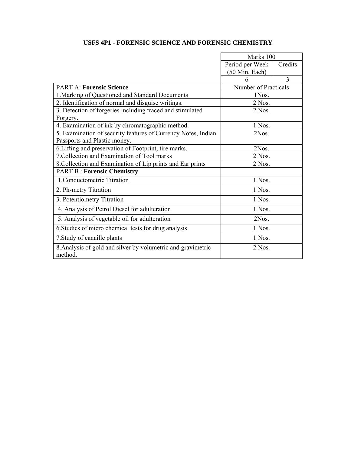## **USFS 4P1 - FORENSIC SCIENCE AND FORENSIC CHEMISTRY**

|                                                                         | Marks 100            |         |
|-------------------------------------------------------------------------|----------------------|---------|
|                                                                         | Period per Week      | Credits |
|                                                                         | (50 Min. Each)       |         |
|                                                                         | 6                    | 3       |
| <b>PART A: Forensic Science</b>                                         | Number of Practicals |         |
| 1. Marking of Questioned and Standard Documents                         | 1Nos.                |         |
| 2. Identification of normal and disguise writings.                      | 2 Nos.               |         |
| 3. Detection of forgeries including traced and stimulated               | 2 Nos.               |         |
| Forgery.                                                                |                      |         |
| 4. Examination of ink by chromatographic method.                        | 1 Nos.               |         |
| 5. Examination of security features of Currency Notes, Indian           | 2Nos.                |         |
| Passports and Plastic money.                                            |                      |         |
| 6. Lifting and preservation of Footprint, tire marks.                   | 2Nos.                |         |
| 7. Collection and Examination of Tool marks                             | $2$ Nos.             |         |
| 8. Collection and Examination of Lip prints and Ear prints              | $2$ Nos.             |         |
| <b>PART B: Forensic Chemistry</b>                                       |                      |         |
| 1. Conductometric Titration                                             | 1 Nos.               |         |
| 2. Ph-metry Titration                                                   | 1 Nos.               |         |
| 3. Potentiometry Titration                                              | 1 Nos.               |         |
| 4. Analysis of Petrol Diesel for adulteration                           | 1 Nos.               |         |
| 5. Analysis of vegetable oil for adulteration                           | 2Nos.                |         |
| 6. Studies of micro chemical tests for drug analysis                    | 1 Nos.               |         |
| 7. Study of canaille plants                                             | 1 Nos.               |         |
| 8. Analysis of gold and silver by volumetric and gravimetric<br>method. | 2 Nos.               |         |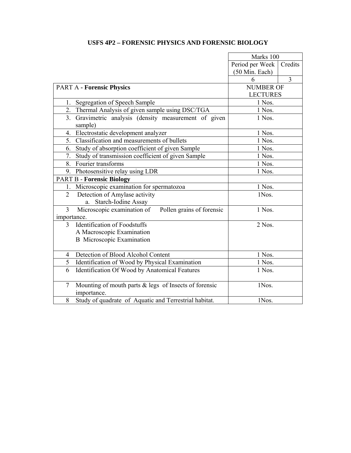## **USFS 4P2 – FORENSIC PHYSICS AND FORENSIC BIOLOGY**

|                |                                                          | Marks 100        |         |
|----------------|----------------------------------------------------------|------------------|---------|
|                |                                                          | Period per Week  | Credits |
|                |                                                          | (50 Min. Each)   |         |
|                |                                                          | 6                | 3       |
|                | <b>PART A - Forensic Physics</b>                         | <b>NUMBER OF</b> |         |
|                |                                                          | <b>LECTURES</b>  |         |
| $1_{-}$        | Segregation of Speech Sample                             | 1 Nos.           |         |
| 2.             | Thermal Analysis of given sample using DSC/TGA           | 1 Nos.           |         |
| 3.             | Gravimetric analysis (density measurement of given       | 1 Nos.           |         |
|                | sample)                                                  |                  |         |
| 4.             | Electrostatic development analyzer                       | 1 Nos.           |         |
| 5.             | Classification and measurements of bullets               | 1 Nos.           |         |
| 6.             | Study of absorption coefficient of given Sample          | 1 Nos.           |         |
| 7.             | Study of transmission coefficient of given Sample        | 1 Nos.           |         |
| 8.             | Fourier transforms                                       | 1 Nos.           |         |
|                | 9. Photosensitive relay using LDR                        | 1 Nos.           |         |
|                | <b>PART B - Forensic Biology</b>                         |                  |         |
| 1.             | Microscopic examination for spermatozoa                  | 1 Nos.           |         |
| $\overline{2}$ | Detection of Amylase activity                            | 1Nos.            |         |
|                | Starch-Iodine Assay<br>a.                                |                  |         |
| 3              | Microscopic examination of<br>Pollen grains of forensic  | 1 Nos.           |         |
| importance.    |                                                          |                  |         |
| 3              | <b>Identification of Foodstuffs</b>                      | 2 Nos.           |         |
|                | A Macroscopic Examination                                |                  |         |
|                | <b>B</b> Microscopic Examination                         |                  |         |
|                |                                                          |                  |         |
| 4              | Detection of Blood Alcohol Content                       | 1 Nos.           |         |
| 5              | Identification of Wood by Physical Examination           | 1 Nos.           |         |
| 6              | Identification Of Wood by Anatomical Features            | 1 Nos.           |         |
|                |                                                          |                  |         |
| 7              | Mounting of mouth parts $\&$ legs of Insects of forensic | 1Nos.            |         |
|                | importance.                                              |                  |         |
| 8              | Study of quadrate of Aquatic and Terrestrial habitat.    | 1Nos.            |         |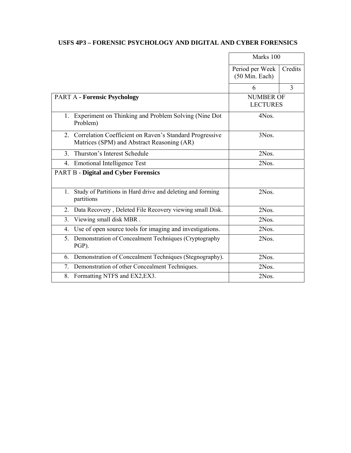### **USFS 4P3 – FORENSIC PSYCHOLOGY AND DIGITAL AND CYBER FORENSICS**

|                                                                                                             | Marks 100                           |         |
|-------------------------------------------------------------------------------------------------------------|-------------------------------------|---------|
|                                                                                                             | Period per Week<br>(50 Min. Each)   | Credits |
|                                                                                                             | 6                                   | 3       |
| <b>PART A - Forensic Psychology</b>                                                                         | <b>NUMBER OF</b><br><b>LECTURES</b> |         |
| 1. Experiment on Thinking and Problem Solving (Nine Dot<br>Problem)                                         | 4Nos.                               |         |
| Correlation Coefficient on Raven's Standard Progressive<br>2.<br>Matrices (SPM) and Abstract Reasoning (AR) | 3Nos.                               |         |
| 3 <sub>1</sub><br>Thurston's Interest Schedule                                                              | 2Nos.                               |         |
| <b>Emotional Intelligence Test</b><br>4.                                                                    | 2Nos.                               |         |
| <b>PART B - Digital and Cyber Forensics</b>                                                                 |                                     |         |
| Study of Partitions in Hard drive and deleting and forming<br>$1_{-}$<br>partitions                         | 2Nos.                               |         |
| Data Recovery, Deleted File Recovery viewing small Disk.<br>2.                                              | 2Nos.                               |         |
| Viewing small disk MBR.<br>3.                                                                               | 2Nos.                               |         |
| Use of open source tools for imaging and investigations.<br>4.                                              | 2Nos.                               |         |
| 5.<br>Demonstration of Concealment Techniques (Cryptography<br>PGP).                                        | 2Nos.                               |         |
| Demonstration of Concealment Techniques (Stegnography).<br>6.                                               | 2Nos.                               |         |
| 7.<br>Demonstration of other Concealment Techniques.                                                        | 2Nos.                               |         |
| 8.<br>Formatting NTFS and EX2, EX3.                                                                         | 2Nos.                               |         |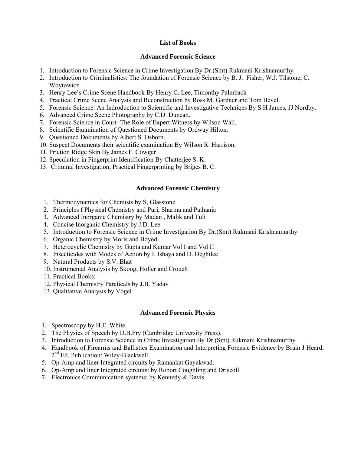### **List of Books**

#### **Advanced Forensic Science**

- 1. Introduction to Forensic Science in Crime Investigation By Dr.(Smt) Rukmani Krishnamurthy
- 2. Introduction to Criminalistics: The foundation of Forensic Science by B. J. Fisher, W.J. Tilstone, C. Woytowicz.
- 3. Henry Lee's Crime Scene Handbook By Henry C. Lee, Timonthy Palmbach
- 4. Practical Crime Scene Analysis and Reconstruction by Ross M. Gardner and Tom Bevel.
- 5. Forensic Science: An Indroduction to Scientific and Investigative Techniqes By S.H James, JJ Nordby.
- 6. Advanced Crime Scene Photography by C.D. Duncan.
- 7. Forensic Science in Court- The Role of Expert Witness by Wilson Wall.
- 8. Scientific Examination of Questioned Documents by Ordway Hilton.
- 9. Questioned Documents by Albert S. Osborn.
- 10. Suspect Documents their scientific examination By Wilson R. Harrison.
- 11. Friction Ridge Skin By James F. Cowger
- 12. Speculation in Fingerprint Identification By Chatterjee S. K.
- 13. Criminal Investigation, Practical Fingerprinting by Briges B. C.

#### **Advanced Forensic Chemistry**

- 1. Thermodynamics for Chemists by S, Glasstone
- 2. Principles f Physical Chemistry and Puri, Sharma and Pathania
- 3. Advanced Inorganic Chemistry by Madan , Malik and Tuli
- 4. Concise Inorganic Chemistry by J.D. Lee
- 5. Introduction to Forensic Science in Crime Investigation By Dr.(Smt) Rukmani Krishnamurthy
- 6. Organic Chemistry by Moris and Boyed
- 7. Heterocyclic Chemistry by Gupta and Kumar Vol I and Vol II
- 8. Insecticides with Modes of Action by I. Ishaya and D. Deghilee
- 9. Natural Products by S.V. Bhat
- 10. Instrumental Analysis by Skoog, Holler and Crouch
- 11. Practical Books:
- 12. Physical Chemistry Parcticals by J.B. Yadav
- 13. Qualitative Analysis by Vogel

#### **Advanced Forensic Physics**

- 1. Spectroscopy by H.E. White.
- 2. The Physics of Speech by D.B.Fry (Cambridge University Press).
- 3. Introduction to Forensic Science in Crime Investigation By Dr.(Smt) Rukmani Krishnamurthy
- 4. Handbook of Firearms and Ballistics Examination and Interpreting Forensic Evidence by Brain J Heard,  $2<sup>nd</sup>$  Ed. Publication: Wiley-Blackwell.
- 5. Op-Amp and liner Integrated circuits by Ramankat Gayakwad.
- 6. Op-Amp and liner Integrated circuits: by Robort Coughling and Driscoll
- 7. Electronics Communication systems: by Kennedy & Davis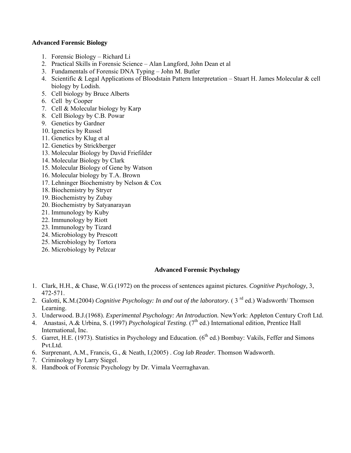#### **Advanced Forensic Biology**

- 1. Forensic Biology Richard Li
- 2. Practical Skills in Forensic Science Alan Langford, John Dean et al
- 3. Fundamentals of Forensic DNA Typing John M. Butler
- 4. Scientific & Legal Applications of Bloodstain Pattern Interpretation Stuart H. James Molecular & cell biology by Lodish.
- 5. Cell biology by Bruce Alberts
- 6. Cell by Cooper
- 7. Cell & Molecular biology by Karp
- 8. Cell Biology by C.B. Powar
- 9. Genetics by Gardner
- 10. Igenetics by Russel
- 11. Genetics by Klug et al
- 12. Genetics by Strickberger
- 13. Molecular Biology by David Friefilder
- 14. Molecular Biology by Clark
- 15. Molecular Biology of Gene by Watson
- 16. Molecular biology by T.A. Brown
- 17. Lehninger Biochemistry by Nelson & Cox
- 18. Biochemistry by Stryer
- 19. Biochemistry by Zubay
- 20. Biochemistry by Satyanarayan
- 21. Immunology by Kuby
- 22. Immunology by Riott
- 23. Immunology by Tizard
- 24. Microbiology by Prescott
- 25. Microbiology by Tortora
- 26. Microbiology by Pelzcar

### **Advanced Forensic Psychology**

- 1. Clark, H.H., & Chase, W.G.(1972) on the process of sentences against pictures. *Cognitive Psychology,* 3, 472-571.
- 2. Galotti, K.M.(2004) *Cognitive Psychology: In and out of the laboratory.* (3<sup>rd</sup> ed.) Wadsworth/ Thomson Learning.
- 3. Underwood. B.J.(1968). *Experimental Psychology: An Introduction.* NewYork: Appleton Century Croft Ltd.
- 4. Anastasi, A.& Urbina, S. (1997) *Psychological Testing*. (7<sup>th</sup> ed.) International edition, Prentice Hall International, Inc.
- 5. Garret, H.E. (1973). Statistics in Psychology and Education. (6<sup>th</sup> ed.) Bombay: Vakils, Feffer and Simons Pvt.Ltd.
- 6. Surprenant, A.M., Francis, G., & Neath, I.(2005) . *Cog lab Reader.* Thomson Wadsworth.
- 7. Criminology by Larry Siegel.
- 8. Handbook of Forensic Psychology by Dr. Vimala Veerraghavan.